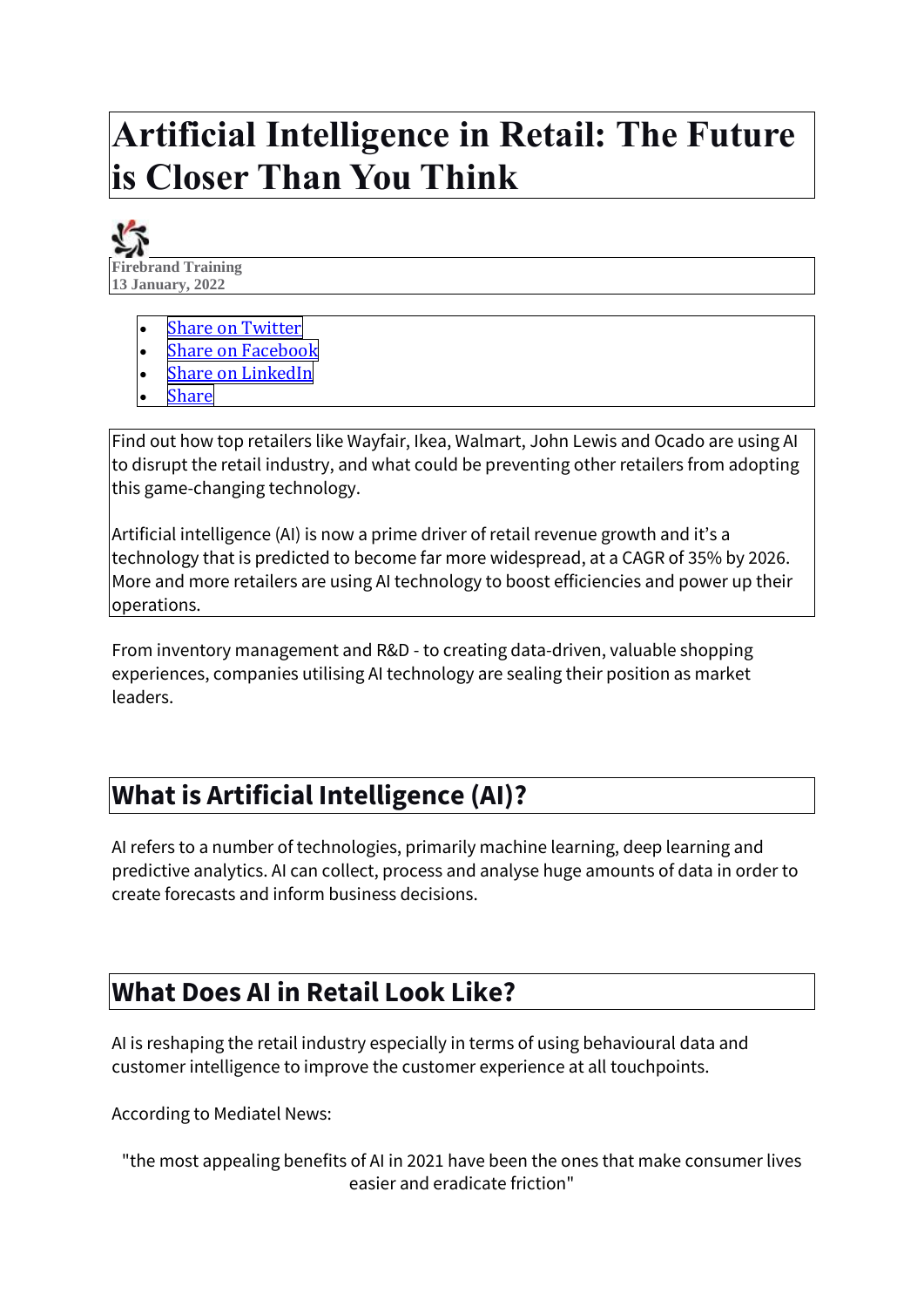# **Artificial Intelligence in Retail: The Future is Closer Than You Think**



- **Share on [Twitter](https://firebrand.training/uk/blog/artificial-intelligence-in-retail-the-future-is-closer-than-you-think)**
- **Share on [Facebook](https://firebrand.training/uk/blog/artificial-intelligence-in-retail-the-future-is-closer-than-you-think)**
- **Share on [LinkedIn](https://firebrand.training/uk/blog/artificial-intelligence-in-retail-the-future-is-closer-than-you-think)**
- **[Share](https://firebrand.training/uk/blog/artificial-intelligence-in-retail-the-future-is-closer-than-you-think)**

Find out how top retailers like Wayfair, Ikea, Walmart, John Lewis and Ocado are using AI to disrupt the retail industry, and what could be preventing other retailers from adopting this game-changing technology.

Artificial intelligence (AI) is now a prime driver of retail revenue growth and it's a technology that is predicted to become far more widespread, at a CAGR of 35% by 2026. More and more retailers are using AI technology to boost efficiencies and power up their operations.

From inventory management and R&D - to creating data-driven, valuable shopping experiences, companies utilising AI technology are sealing their position as market leaders.

## **What is Artificial Intelligence (AI)?**

AI refers to a number of technologies, primarily machine learning, deep learning and predictive analytics. AI can collect, process and analyse huge amounts of data in order to create forecasts and inform business decisions.

## **What Does AI in Retail Look Like?**

AI is reshaping the retail industry especially in terms of using behavioural data and customer intelligence to improve the customer experience at all touchpoints.

According to Mediatel News:

```
"the most appealing benefits of AI in 2021 have been the ones that make consumer lives 
                 easier and eradicate friction"
```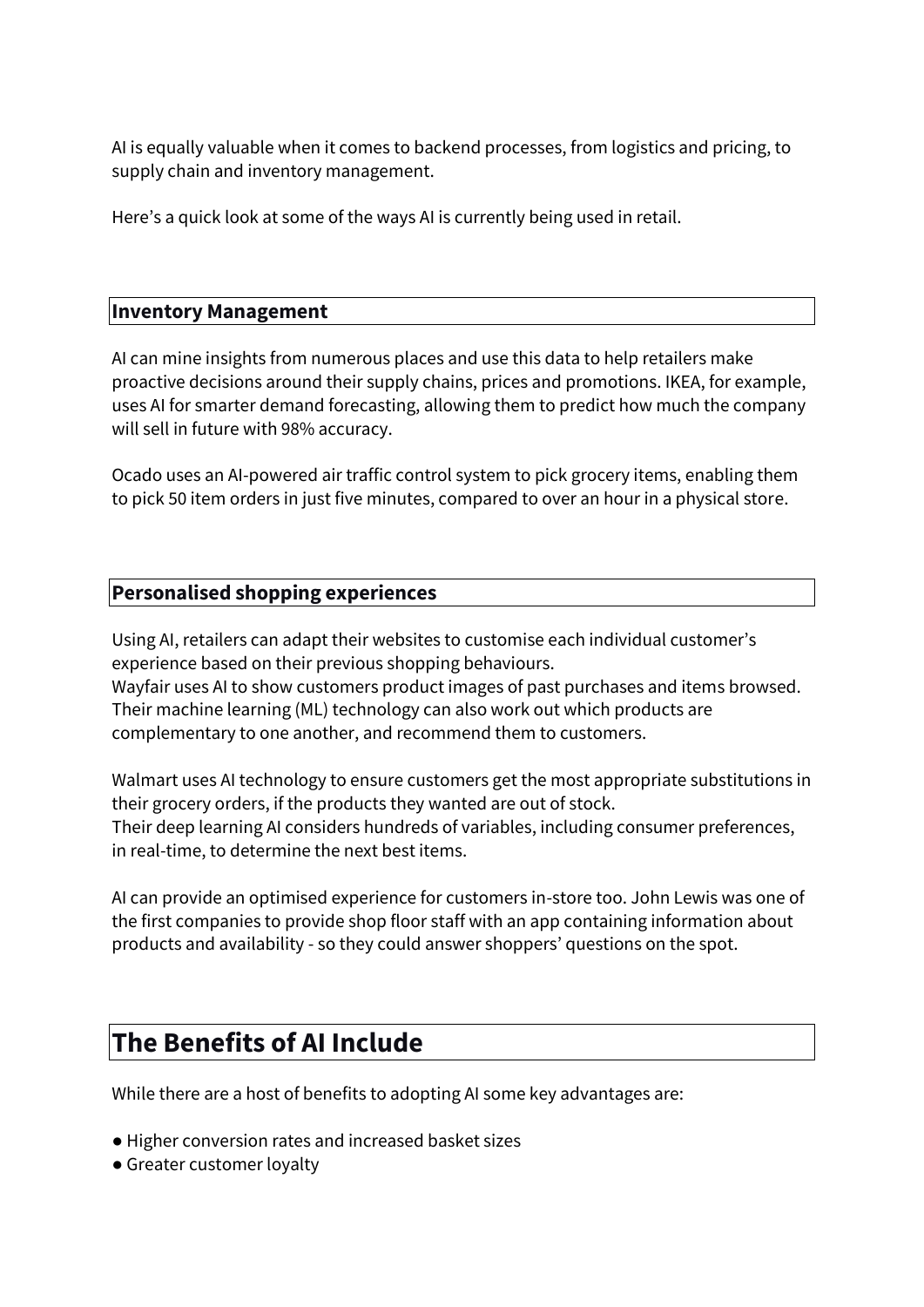AI is equally valuable when it comes to backend processes, from logistics and pricing, to supply chain and inventory management.

Here's a quick look at some of the ways AI is currently being used in retail.

#### **Inventory Management**

AI can mine insights from numerous places and use this data to help retailers make proactive decisions around their supply chains, prices and promotions. IKEA, for example, uses AI for smarter demand forecasting, allowing them to predict how much the company will sell in future with 98% accuracy.

Ocado uses an AI-powered air traffic control system to pick grocery items, enabling them to pick 50 item orders in just five minutes, compared to over an hour in a physical store.

#### **Personalised shopping experiences**

Using AI, retailers can adapt their websites to customise each individual customer's experience based on their previous shopping behaviours. Wayfair uses AI to show customers product images of past purchases and items browsed. Their machine learning (ML) technology can also work out which products are complementary to one another, and recommend them to customers.

Walmart uses AI technology to ensure customers get the most appropriate substitutions in their grocery orders, if the products they wanted are out of stock. Their deep learning AI considers hundreds of variables, including consumer preferences, in real-time, to determine the next best items.

AI can provide an optimised experience for customers in-store too. John Lewis was one of the first companies to provide shop floor staff with an app containing information about products and availability - so they could answer shoppers' questions on the spot.

### **The Benefits of AI Include**

While there are a host of benefits to adopting AI some key advantages are:

- Higher conversion rates and increased basket sizes
- Greater customer loyalty